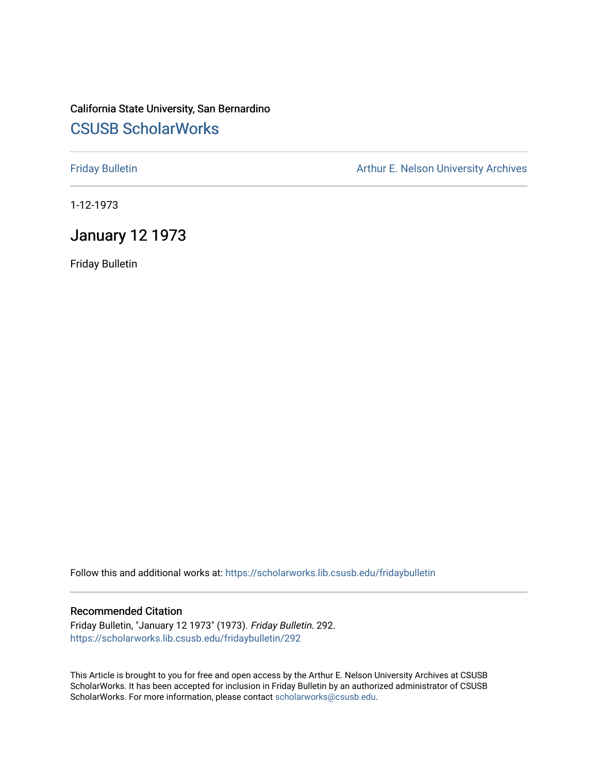# California State University, San Bernardino [CSUSB ScholarWorks](https://scholarworks.lib.csusb.edu/)

[Friday Bulletin](https://scholarworks.lib.csusb.edu/fridaybulletin) **Arthur E. Nelson University Archives** Arthur E. Nelson University Archives

1-12-1973

## January 12 1973

Friday Bulletin

Follow this and additional works at: [https://scholarworks.lib.csusb.edu/fridaybulletin](https://scholarworks.lib.csusb.edu/fridaybulletin?utm_source=scholarworks.lib.csusb.edu%2Ffridaybulletin%2F292&utm_medium=PDF&utm_campaign=PDFCoverPages)

## Recommended Citation

Friday Bulletin, "January 12 1973" (1973). Friday Bulletin. 292. [https://scholarworks.lib.csusb.edu/fridaybulletin/292](https://scholarworks.lib.csusb.edu/fridaybulletin/292?utm_source=scholarworks.lib.csusb.edu%2Ffridaybulletin%2F292&utm_medium=PDF&utm_campaign=PDFCoverPages)

This Article is brought to you for free and open access by the Arthur E. Nelson University Archives at CSUSB ScholarWorks. It has been accepted for inclusion in Friday Bulletin by an authorized administrator of CSUSB ScholarWorks. For more information, please contact [scholarworks@csusb.edu.](mailto:scholarworks@csusb.edu)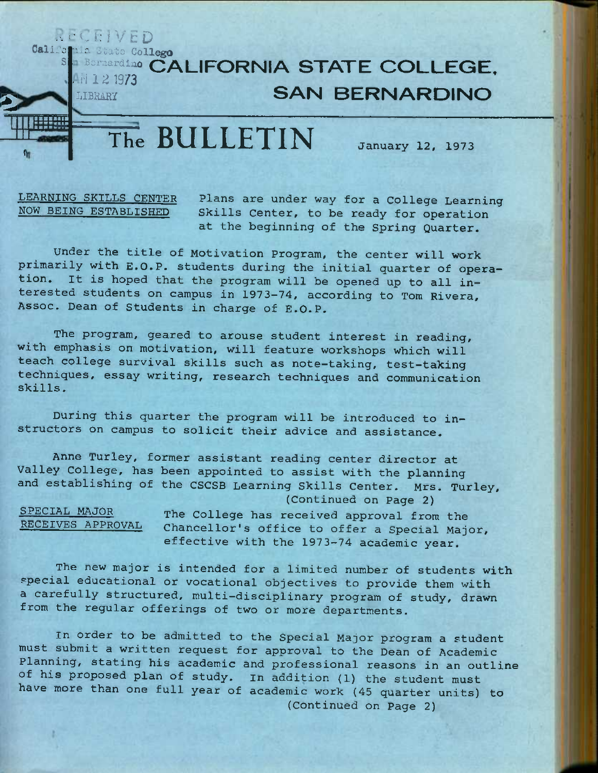### *• •• '-1, i: IV E D*  Califo**n** *"• ici* **otato Coll^o**

**S** 

# **Bornardino CALIFORNIA STATE COLLEGE, M 1 2 1973 SAN BERNARDINO**

**The BULLETI^N January 12, 1973** 

**5** 

 $\eta$ 

*\^M* 

**LEARNING SKILLS CENTER Plans are under way for a College Learning**  Skills Center, to be ready for operation **at the beginning of the Spring Quarter.** 

**Under the title of Motivation Program, the center will work primarily with E.G.P. students during the initial quarter of operation. It is hoped that the program will be opened up to all interested students on campus in 1973—74, according to Tom Rivera, Assoc. Dean of Students in charge of E.G.P.** 

**The program, geared to arouse student interest in reading, with emphasis on motivation, will feature workshops which will teach college survival skills such as note-taking, test-taking techniques, essay writing, research techniques and communication skills.** 

**During this quarter the program will be introduced to instructors on campus to solicit their advice and assistance,** 

**Anne Turley, former assistant reading center director at Valley College, has been appointed to assist with the planning and establishing of the CSCSB Learning Skills Center. Mrs. Turley,** 

**(Continued on Page 2)** 

**SPECIAL MAJGR The College has received approval from the**  Chancellor's office to offer a Special Major, **effective with the 1973—74 academic year.** 

**The new major is intended for a limited number of students with special educational or vocational objectives to provide them with a carefully structured, multi-disciplinary program of study, drawn from the regular offerings of two or more departments.** 

**In order to be admitted to the Special Major program a student must submit a written request for approval to the Dean of Academic Planning, stating his academic and professional reasons in an outline of his proposed plan of study. in addition (1) the student must have more than one full year of academic work (45 quarter units) to (Continued on Page 2)**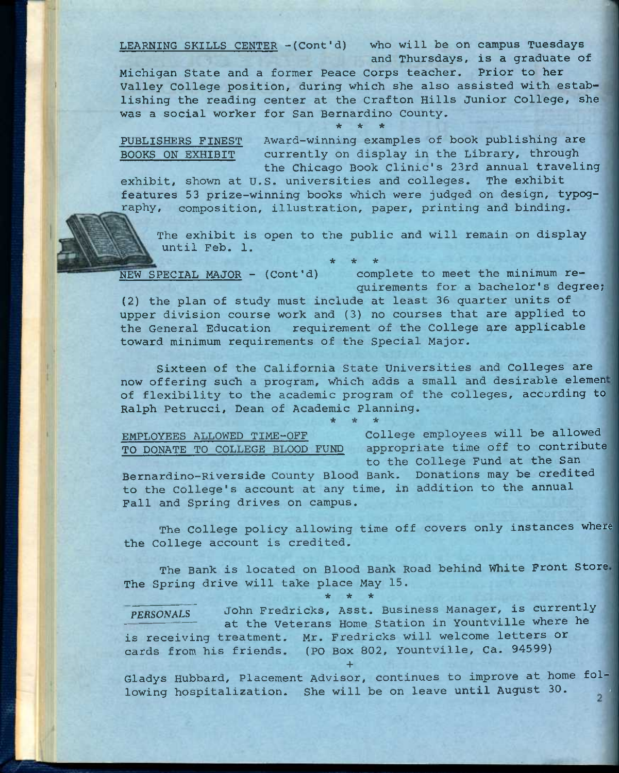**LEARNING SKILLS CENTER -(Cont'd) who will be on campus Tuesdays and Thursdays, is a graduate of** 

**Michigan State and a former Peace Corps teacher. Prior to her Valley College position, during which she also assisted with establishing the reading center at the Crafton Hills Junior College, she was a social worker for San Bernardino County,**  *it \* \** 

PUBLISHERS FINEST Award-winning examples of book publishing are **BOOKS ON EXHIBIT currently on display in the Library, through the Chicago Book Clinic's 23rd annual traveling** 

**exhibit, shown at U.S. universities and colleges. The exhibit features 53 prize-winning books which were judged on design, typog- ^sphy, composition, illustration, paper, printing and binding.** 

**The exhibit is open to the public and will remain on display until Feb. 1.** 

**NEW SPECIAL MAJOR - (Cont'd) complete to meet the minimum requirements for a bachelor's degree;** 

**(2) the plan of study must include at least 36 quarter units of upper division course work and (3) no courses that are applied to the General Education requirement of the College are applicable toward minimum requirements of the Special Major.** 

**\* \* \*** 

**Sixteen of the California State Universities and Colleges are now offering such a program, which adds a small and desirable elemen of flexibility to the academic program of the colleges, according to Ralph Petrucci, Dean of Academic Planning. \* \* \*** 

**EMPLOYEES ALLOWED TIME-OFF College employees will be allowed TO DONATE TO COLLEGE BLOOD FUND appropriate time off to contribute to the College Fund at the San** 

**Bernardino-Riverside County Blood Bank. Donations may be credited to the College's account at any time, in addition to the annual Fall and Spring drives on campus.** 

**The College policy allowing time off covers only instances where the College account is credited.** 

**The Bank is located on Blood Bank Road behind White Front Store The Spring drive will take place May 15.** 

*PERSONALS* **John Fredricks, Asst. Business Manager, is currently — at the Veterans Home Station in Yountville where he is receiving treatment. Mr. Fredricks will welcome letters or cards from his friends. (PO Box 802, Yountville, Ca. 94599)** 

**\* \* \*** 

**+** 

**Gladys Hubbard, Placement Advisor, continues to improve at home fol**lowing hospitalization. She will be on leave until August 30. , 2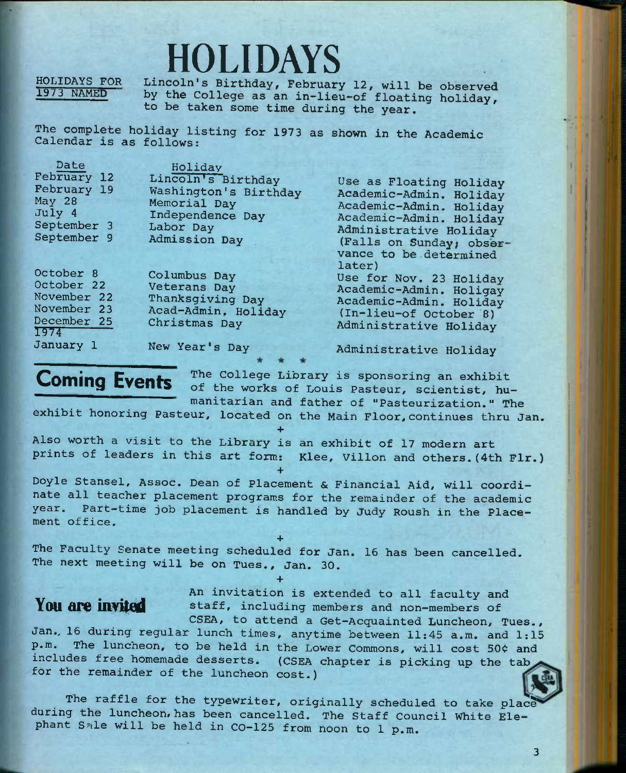# HOLIDAYS

**HOLIDAYS FOR 1973 NAMED** 

Lincoln's Birthday, February 12, will be observed **by the College as an in-lieu-of floating holiday, to be taken some time during the year.** 

**The complete holiday listing for 1973 as shown in the Academic Calendar is as follows:** 

| Date                 | Holiday               |                          |
|----------------------|-----------------------|--------------------------|
| February 12          | Lincoln's Birthday    | Use as Floating Holiday  |
| February 19          | Washington's Birthday | Academic-Admin. Holiday  |
| May 28               | Memorial Day          | Academic-Admin. Holiday  |
| July 4               | Independence Day      | Academic-Admin. Holiday  |
| September 3          | Labor Day             | Administrative Holiday   |
| September 9          | <b>Admission Day</b>  | (Falls on Sunday; obser- |
|                      |                       | vance to be determined   |
|                      |                       | later)                   |
| October <sub>8</sub> | Columbus Day          | Use for Nov. 23 Holiday  |
| October 22           | Veterans Day          | Academic-Admin. Holigay  |
| November 22          | Thanksgiving Day      | Academic-Admin. Holiday  |
| November 23          | Acad-Admin, Holiday   | (In-lieu-of October 8)   |
| December 25          | Christmas Day         | Administrative Holiday   |
| 1974                 |                       |                          |
| January 1            | New Year's Day        | Administrative Holiday   |

**Admi nistrative Ho1iday** 

**Coming Events** The College Library is sponsoring an exhibit **of the works of Louis Pasteur, scientist, humanitarian and father of "Pasteurization," The** 

**exhibit honoring Pasteur, located on the Main Floor,continues thru Jan.** 

**+ Also worth a visit to the Library is an exhibit of 17 modern art prints of leaders in this art form: Klee, Villon and others.(4th Fir.)** 

**+ Doyle Stansel, Assoc. Dean of Placement & Financial Aid, will coordinate all teacher placement programs for the remainder of the academic year. Part-time job placement is handled by Judy Roush in the Placement office.** 

**+** 

**+** 

**The Faculty Senate meeting scheduled for Jan. 16 has been cancelled. The next meeting will be on Tues., Jan. 30.** 

**An invitation is extended to all faculty and**  You are invited staff, including members and non-members of

**CSEA, to attend a Get-Acquainted Luncheon, Tues., Jan., 16 during regular lunch times, anytime between 11:45 a.m. and 1:15**  p.m. The luncheon, to be held in the Lower Commons, will cost 50¢ and **includes free homemade desserts. (CSEA chapter is picking up the tab for the remainder of the luncheon cost.)** 

**The raffle for the typewriter, originally scheduled to take plac§ during the luncheon, has been cancelled. The Staff Council White Elephant Sale will be held in CO-125 from noon to 1 p.m.**